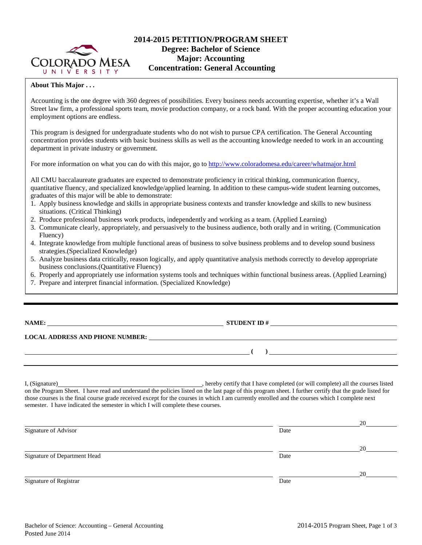

# **2014-2015 PETITION/PROGRAM SHEET Degree: Bachelor of Science Major: Accounting Concentration: General Accounting**

## **About This Major . . .**

Accounting is the one degree with 360 degrees of possibilities. Every business needs accounting expertise, whether it's a Wall Street law firm, a professional sports team, movie production company, or a rock band. With the proper accounting education your employment options are endless.

This program is designed for undergraduate students who do not wish to pursue CPA certification. The General Accounting concentration provides students with basic business skills as well as the accounting knowledge needed to work in an accounting department in private industry or government.

For more information on what you can do with this major, go t[o http://www.coloradomesa.edu/career/whatmajor.html](http://www.coloradomesa.edu/career/whatmajor.html)

All CMU baccalaureate graduates are expected to demonstrate proficiency in critical thinking, communication fluency, quantitative fluency, and specialized knowledge/applied learning. In addition to these campus-wide student learning outcomes, graduates of this major will be able to demonstrate:

- 1. Apply business knowledge and skills in appropriate business contexts and transfer knowledge and skills to new business situations. (Critical Thinking)
- 2. Produce professional business work products, independently and working as a team. (Applied Learning)
- 3. Communicate clearly, appropriately, and persuasively to the business audience, both orally and in writing. (Communication Fluency)
- 4. Integrate knowledge from multiple functional areas of business to solve business problems and to develop sound business strategies.(Specialized Knowledge)
- 5. Analyze business data critically, reason logically, and apply quantitative analysis methods correctly to develop appropriate business conclusions.(Quantitative Fluency)
- 6. Properly and appropriately use information systems tools and techniques within functional business areas. (Applied Learning)
- 7. Prepare and interpret financial information. (Specialized Knowledge)

# **NAME: STUDENT ID #**

#### **LOCAL ADDRESS AND PHONE NUMBER:**

I, (Signature) **Solution** , hereby certify that I have completed (or will complete) all the courses listed on the Program Sheet. I have read and understand the policies listed on the last page of this program sheet. I further certify that the grade listed for those courses is the final course grade received except for the courses in which I am currently enrolled and the courses which I complete next semester. I have indicated the semester in which I will complete these courses.

|                              |      | 20 |
|------------------------------|------|----|
| Signature of Advisor         | Date |    |
|                              |      | 20 |
| Signature of Department Head | Date |    |
|                              |      | 20 |
| Signature of Registrar       | Date |    |

**( )**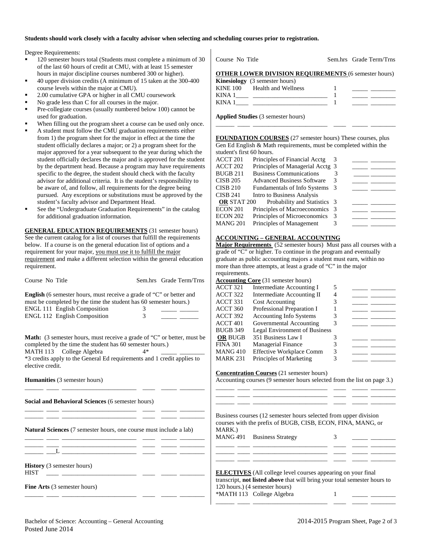#### **Students should work closely with a faculty advisor when selecting and scheduling courses prior to registration.**

Degree Requirements:

- 120 semester hours total (Students must complete a minimum of 30 of the last 60 hours of credit at CMU, with at least 15 semester hours in major discipline courses numbered 300 or higher).
- 40 upper division credits (A minimum of 15 taken at the 300-400 course levels within the major at CMU).
- 2.00 cumulative GPA or higher in all CMU coursework
- No grade less than C for all courses in the major.
- Pre-collegiate courses (usually numbered below 100) cannot be used for graduation.
- When filling out the program sheet a course can be used only once.
- A student must follow the CMU graduation requirements either from 1) the program sheet for the major in effect at the time the student officially declares a major; or 2) a program sheet for the major approved for a year subsequent to the year during which the student officially declares the major and is approved for the student by the department head. Because a program may have requirements specific to the degree, the student should check with the faculty advisor for additional criteria. It is the student's responsibility to be aware of, and follow, all requirements for the degree being pursued. Any exceptions or substitutions must be approved by the student's faculty advisor and Department Head.
- See the "Undergraduate Graduation Requirements" in the catalog for additional graduation information.

**GENERAL EDUCATION REQUIREMENTS** (31 semester hours) See the current catalog for a list of courses that fulfill the requirements below. If a course is on the general education list of options and a requirement for your major, you must use it to fulfill the major requirement and make a different selection within the general education requirement.

|                                                           |                                                                                | .cuuncinciito       |                                                                           |   |                                                                                                                                                                                                                                      |  |
|-----------------------------------------------------------|--------------------------------------------------------------------------------|---------------------|---------------------------------------------------------------------------|---|--------------------------------------------------------------------------------------------------------------------------------------------------------------------------------------------------------------------------------------|--|
| Course No Title                                           | Sem.hrs Grade Term/Trns                                                        |                     | <b>Accounting Core</b> (31 semester hours)                                |   |                                                                                                                                                                                                                                      |  |
|                                                           |                                                                                | ACCT 321            | Intermediate Accounting I                                                 | 5 |                                                                                                                                                                                                                                      |  |
|                                                           | <b>English</b> (6 semester hours, must receive a grade of "C" or better and    | ACCT <sub>322</sub> | Intermediate Accounting II                                                | 4 | $\overline{\phantom{a}}$ and $\overline{\phantom{a}}$                                                                                                                                                                                |  |
|                                                           | must be completed by the time the student has 60 semester hours.)              | ACCT 331            | <b>Cost Accounting</b>                                                    | 3 | <u> 1989 - Andrea Sta</u>                                                                                                                                                                                                            |  |
| <b>ENGL 111 English Composition</b>                       | 3                                                                              | ACCT 360            | Professional Preparation I                                                | 1 |                                                                                                                                                                                                                                      |  |
| <b>ENGL 112 English Composition</b>                       | 3                                                                              | ACCT 392            | <b>Accounting Info Systems</b>                                            | 3 | $\overline{\phantom{a}}$ and $\overline{\phantom{a}}$                                                                                                                                                                                |  |
|                                                           |                                                                                | ACCT <sub>401</sub> | Governmental Accounting                                                   | 3 |                                                                                                                                                                                                                                      |  |
|                                                           |                                                                                | <b>BUGB 349</b>     | Legal Environment of Business                                             |   |                                                                                                                                                                                                                                      |  |
|                                                           | <b>Math:</b> (3 semester hours, must receive a grade of "C" or better, must be | <b>OR BUGB</b>      | 351 Business Law I                                                        | 3 |                                                                                                                                                                                                                                      |  |
| completed by the time the student has 60 semester hours.) |                                                                                | <b>FINA 301</b>     | Managerial Finance                                                        | 3 | <u> 1989 - Andrea Station Books and the Books and the Books and the Books and the Books and the Books and the Books and the Books and the Books and the Books and the Books and the Books and the Books and the Books and the Bo</u> |  |
| MATH 113 College Algebra                                  | $4*$                                                                           | <b>MANG 410</b>     | <b>Effective Workplace Comm</b>                                           | 3 |                                                                                                                                                                                                                                      |  |
|                                                           | *3 credits apply to the General Ed requirements and 1 credit applies to        | <b>MARK 231</b>     | Principles of Marketing                                                   | 3 |                                                                                                                                                                                                                                      |  |
| elective credit.                                          |                                                                                |                     |                                                                           |   |                                                                                                                                                                                                                                      |  |
|                                                           |                                                                                |                     | <b>Concentration Courses</b> (21 semester hours)                          |   |                                                                                                                                                                                                                                      |  |
| <b>Humanities</b> (3 semester hours)                      |                                                                                |                     | Accounting courses (9 semester hours selected from the list on page 3.)   |   |                                                                                                                                                                                                                                      |  |
|                                                           |                                                                                |                     |                                                                           |   |                                                                                                                                                                                                                                      |  |
|                                                           |                                                                                |                     |                                                                           |   |                                                                                                                                                                                                                                      |  |
| Social and Behavioral Sciences (6 semester hours)         |                                                                                |                     |                                                                           |   |                                                                                                                                                                                                                                      |  |
|                                                           |                                                                                |                     | Business courses (12 semester hours selected from upper division          |   |                                                                                                                                                                                                                                      |  |
|                                                           |                                                                                |                     | courses with the prefix of BUGB, CISB, ECON, FINA, MANG, or               |   |                                                                                                                                                                                                                                      |  |
|                                                           | Natural Sciences (7 semester hours, one course must include a lab)             | MARK.)              |                                                                           |   |                                                                                                                                                                                                                                      |  |
|                                                           |                                                                                |                     | MANG 491 Business Strategy                                                | 3 |                                                                                                                                                                                                                                      |  |
|                                                           | <u> 1980 - Jan James James, martin amerikan (h. 1980).</u>                     |                     |                                                                           |   |                                                                                                                                                                                                                                      |  |
|                                                           | ___ __L ____________________ _____ _____ _____                                 |                     |                                                                           |   |                                                                                                                                                                                                                                      |  |
|                                                           |                                                                                |                     |                                                                           |   |                                                                                                                                                                                                                                      |  |
| <b>History</b> (3 semester hours)                         |                                                                                |                     |                                                                           |   |                                                                                                                                                                                                                                      |  |
| <b>HIST</b>                                               |                                                                                |                     | <b>ELECTIVES</b> (All college level courses appearing on your final       |   |                                                                                                                                                                                                                                      |  |
|                                                           |                                                                                |                     | transcript, not listed above that will bring your total semester hours to |   |                                                                                                                                                                                                                                      |  |
| <b>Fine Arts</b> (3 semester hours)                       |                                                                                |                     | 120 hours.) (4 semester hours)                                            |   |                                                                                                                                                                                                                                      |  |
|                                                           |                                                                                |                     | *MATH 113 College Algebra                                                 |   |                                                                                                                                                                                                                                      |  |
|                                                           |                                                                                |                     |                                                                           |   |                                                                                                                                                                                                                                      |  |
|                                                           |                                                                                |                     |                                                                           |   |                                                                                                                                                                                                                                      |  |

| KINA 1                                    |  |  |
|-------------------------------------------|--|--|
| <b>Applied Studies (3 semester hours)</b> |  |  |

**FOUNDATION COURSES** (27 semester hours) These courses, plus Gen Ed English & Math requirements, must be completed within the student's first 60 hours.

\_\_\_\_\_\_ \_\_\_\_ \_\_\_\_\_\_\_\_\_\_\_\_\_\_\_\_\_\_\_\_\_\_\_\_ \_\_\_\_ \_\_\_\_\_ \_\_\_\_\_\_\_\_

Course No Title Sem.hrs Grade Term/Trns

**OTHER LOWER DIVISION REQUIREMENTS** (6 semester hours)

| ACCT 201           | Principles of Financial Acctg     | 3             |  |
|--------------------|-----------------------------------|---------------|--|
| ACCT 202           | Principles of Managerial Acctg 3  |               |  |
| <b>BUGB 211</b>    | <b>Business Communications</b>    |               |  |
| <b>CISB 205</b>    | <b>Advanced Business Software</b> | 3             |  |
| <b>CISB 210</b>    | Fundamentals of Info Systems 3    |               |  |
| <b>CISB 241</b>    | Intro to Business Analysis        |               |  |
| <b>OR STAT 200</b> | Probability and Statistics 3      |               |  |
| ECON 201           | Principles of Macroeconomics      | $\mathcal{R}$ |  |
| ECON 202           | Principles of Microeconomics      | 3             |  |
| MANG 201           | Principles of Management          | 3             |  |
|                    |                                   |               |  |

### **ACCOUNTING – GENERAL ACCOUNTING**

**Major Requirements** (52 semester hours) Must pass all courses with a grade of "C" or higher. To continue in the program and eventually graduate as public accounting majors a student must earn, within no more than three attempts, at least a grade of "C" in the major requirements

**Kinesiology** (3 semester hours)

KINE 100 Health and Wellness 1 \_\_\_\_\_ \_\_\_\_\_\_\_\_ KINA 1\_\_\_\_ \_\_\_\_\_\_\_\_\_\_\_\_\_\_\_\_\_\_\_\_\_\_\_\_ 1 \_\_\_\_\_ \_\_\_\_\_\_\_\_

|                | $\frac{1}{2}$ core (31 semester hours) |   |  |
|----------------|----------------------------------------|---|--|
| ACCT 321       | Intermediate Accounting I              | 5 |  |
| ACCT 322       | Intermediate Accounting II             | 4 |  |
| ACCT 331       | <b>Cost Accounting</b>                 |   |  |
| ACCT 360       | Professional Preparation I             |   |  |
| ACCT 392       | Accounting Info Systems                |   |  |
| ACCT 401       | Governmental Accounting                |   |  |
| BUGB 349       | Legal Environment of Business          |   |  |
| <b>OR BUGB</b> | 351 Business Law I                     | 3 |  |
| FINA 301       | <b>Managerial Finance</b>              | 3 |  |
| MANG 410       | <b>Effective Workplace Comm</b>        | 3 |  |
| MARK 231       | Principles of Marketing                |   |  |
|                |                                        |   |  |

#### **Concerted Cours** (2015)